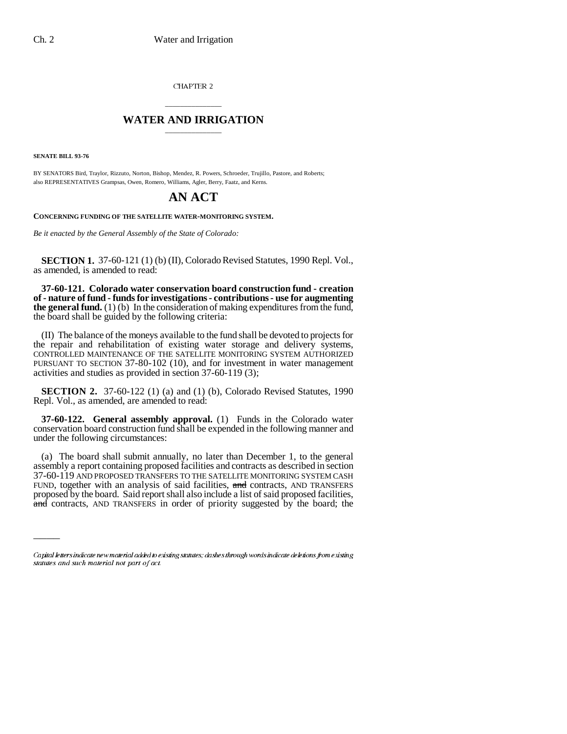CHAPTER 2

## \_\_\_\_\_\_\_\_\_\_\_\_\_\_\_ **WATER AND IRRIGATION** \_\_\_\_\_\_\_\_\_\_\_\_\_\_\_

**SENATE BILL 93-76**

 $\overline{\phantom{a}}$ 

BY SENATORS Bird, Traylor, Rizzuto, Norton, Bishop, Mendez, R. Powers, Schroeder, Trujillo, Pastore, and Roberts; also REPRESENTATIVES Grampsas, Owen, Romero, Williams, Agler, Berry, Faatz, and Kerns.

## **AN ACT**

**CONCERNING FUNDING OF THE SATELLITE WATER-MONITORING SYSTEM.**

*Be it enacted by the General Assembly of the State of Colorado:*

**SECTION 1.** 37-60-121 (1) (b) (II), Colorado Revised Statutes, 1990 Repl. Vol., as amended, is amended to read:

**37-60-121. Colorado water conservation board construction fund - creation of - nature of fund - funds for investigations - contributions - use for augmenting the general fund.** (1) (b) In the consideration of making expenditures from the fund, the board shall be guided by the following criteria:

(II) The balance of the moneys available to the fund shall be devoted to projects for the repair and rehabilitation of existing water storage and delivery systems, CONTROLLED MAINTENANCE OF THE SATELLITE MONITORING SYSTEM AUTHORIZED PURSUANT TO SECTION 37-80-102 (10), and for investment in water management activities and studies as provided in section 37-60-119 (3);

**SECTION 2.** 37-60-122 (1) (a) and (1) (b), Colorado Revised Statutes, 1990 Repl. Vol., as amended, are amended to read:

**37-60-122. General assembly approval.** (1) Funds in the Colorado water conservation board construction fund shall be expended in the following manner and under the following circumstances:

(a) The board shall submit annually, no later than December 1, to the general assembly a report containing proposed facilities and contracts as described in section 37-60-119 AND PROPOSED TRANSFERS TO THE SATELLITE MONITORING SYSTEM CASH FUND, together with an analysis of said facilities, and contracts, AND TRANSFERS proposed by the board. Said report shall also include a list of said proposed facilities, and contracts, AND TRANSFERS in order of priority suggested by the board; the

Capital letters indicate new material added to existing statutes; dashes through words indicate deletions from existing statutes and such material not part of act.